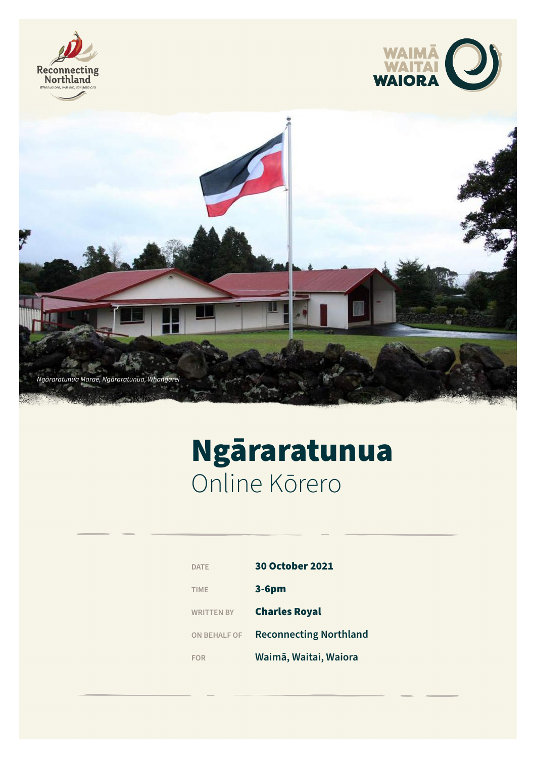





# Ngāraratunua Online Kōrero

| <b>DATE</b>         | <b>30 October 2021</b>        |
|---------------------|-------------------------------|
| <b>TIME</b>         | $3-6pm$                       |
| <b>WRITTEN BY</b>   | <b>Charles Royal</b>          |
| <b>ON BEHALF OF</b> | <b>Reconnecting Northland</b> |
| FOR                 | Waimā, Waitai, Waiora         |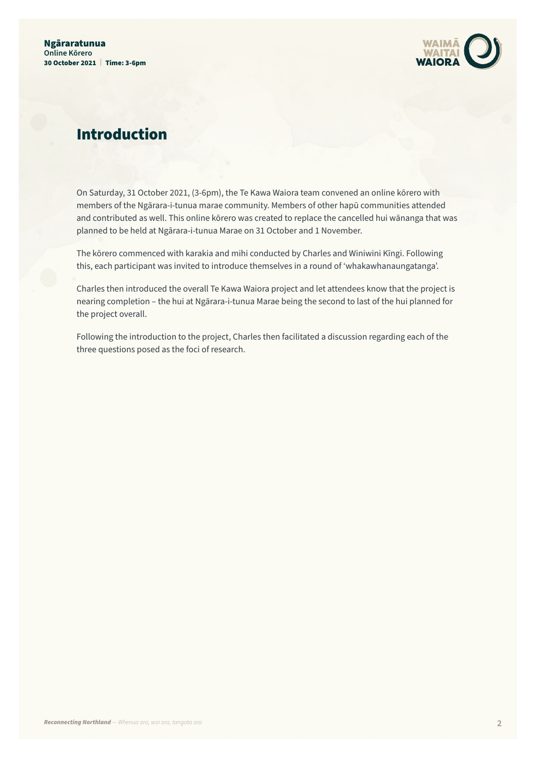

### Introduction

On Saturday, 31 October 2021, (3-6pm), the Te Kawa Waiora team convened an online kōrero with members of the Ngārara-i-tunua marae community. Members of other hapū communities attended and contributed as well. This online kōrero was created to replace the cancelled hui wānanga that was planned to be held at Ngārara-i-tunua Marae on 31 October and 1 November.

The kōrero commenced with karakia and mihi conducted by Charles and Winiwini Kīngi. Following this, each participant was invited to introduce themselves in a round of 'whakawhanaungatanga'.

Charles then introduced the overall Te Kawa Waiora project and let attendees know that the project is nearing completion – the hui at Ngārara-i-tunua Marae being the second to last of the hui planned for the project overall.

Following the introduction to the project, Charles then facilitated a discussion regarding each of the three questions posed as the foci of research.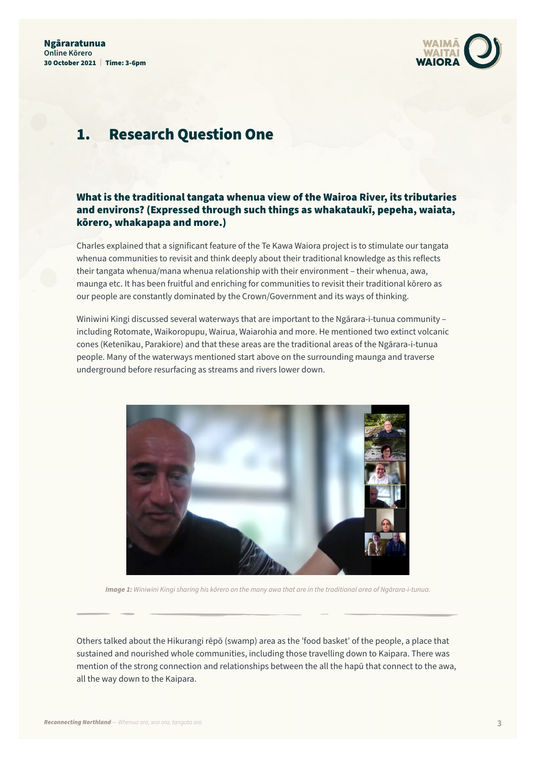

#### 1. Research Question One

#### What is the traditional tangata whenua view of the Wairoa River, its tributaries and environs? (Expressed through such things as whakataukī, pepeha, waiata, kōrero, whakapapa and more.)

Charles explained that a significant feature of the Te Kawa Waiora project is to stimulate our tangata whenua communities to revisit and think deeply about their traditional knowledge as this reflects their tangata whenua/mana whenua relationship with their environment – their whenua, awa, maunga etc. It has been fruitful and enriching for communities to revisit their traditional kōrero as our people are constantly dominated by the Crown/Government and its ways of thinking.

Winiwini Kingi discussed several waterways that are important to the Ngārara-i-tunua community – including Rotomate, Waikoropupu, Wairua, Waiarohia and more. He mentioned two extinct volcanic cones (Ketenīkau, Parakiore) and that these areas are the traditional areas of the Ngārara-i-tunua people. Many of the waterways mentioned start above on the surrounding maunga and traverse underground before resurfacing as streams and rivers lower down.



*Image 1: Winiwini Kingi sharing his kōrero on the many awa that are in the traditional area of Ngārara-i-tunua.*

Others talked about the Hikurangi rēpō (swamp) area as the 'food basket' of the people, a place that sustained and nourished whole communities, including those travelling down to Kaipara. There was mention of the strong connection and relationships between the all the hapū that connect to the awa, all the way down to the Kaipara.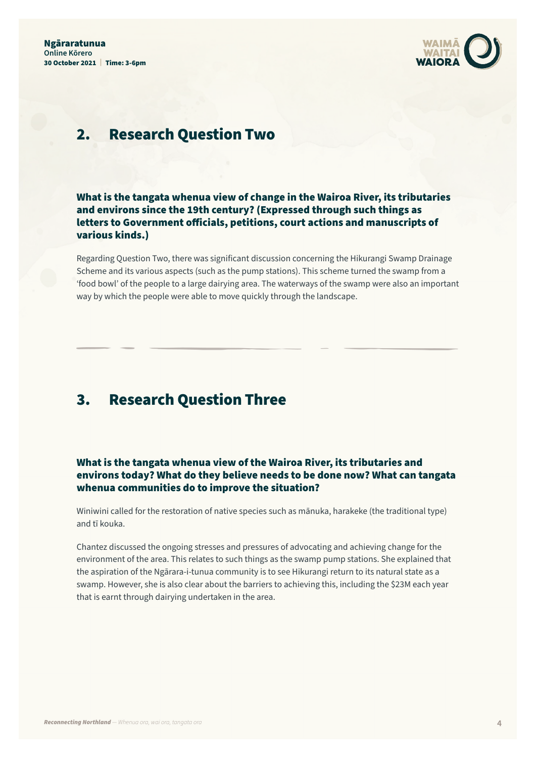

#### 2. Research Question Two

What is the tangata whenua view of change in the Wairoa River, its tributaries and environs since the 19th century? (Expressed through such things as letters to Government officials, petitions, court actions and manuscripts of various kinds.)

Regarding Question Two, there was significant discussion concerning the Hikurangi Swamp Drainage Scheme and its various aspects (such as the pump stations). This scheme turned the swamp from a 'food bowl' of the people to a large dairying area. The waterways of the swamp were also an important way by which the people were able to move quickly through the landscape.

#### 3. Research Question Three

What is the tangata whenua view of the Wairoa River, its tributaries and environs today? What do they believe needs to be done now? What can tangata whenua communities do to improve the situation?

Winiwini called for the restoration of native species such as mānuka, harakeke (the traditional type) and tī kouka.

Chantez discussed the ongoing stresses and pressures of advocating and achieving change for the environment of the area. This relates to such things as the swamp pump stations. She explained that the aspiration of the Ngārara-i-tunua community is to see Hikurangi return to its natural state as a swamp. However, she is also clear about the barriers to achieving this, including the \$23M each year that is earnt through dairying undertaken in the area.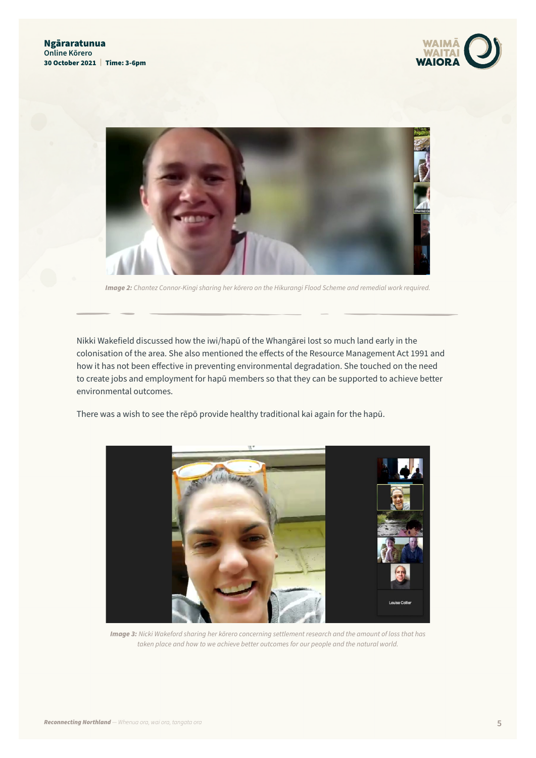



*Image 2: Chantez Connor-Kingi sharing her kōrero on the Hikurangi Flood Scheme and remedial work required.*

Nikki Wakefield discussed how the iwi/hapū of the Whangārei lost so much land early in the colonisation of the area. She also mentioned the effects of the Resource Management Act 1991 and how it has not been effective in preventing environmental degradation. She touched on the need to create jobs and employment for hapū members so that they can be supported to achieve better environmental outcomes.

There was a wish to see the rēpō provide healthy traditional kai again for the hapū.



*Image 3: Nicki Wakeford sharing her kōrero concerning settlement research and the amount of loss that has taken place and how to we achieve better outcomes for our people and the natural world.*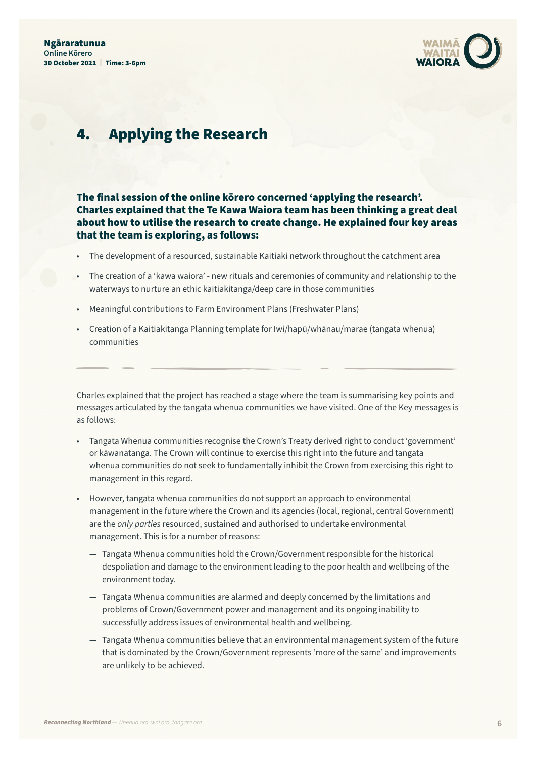

#### 4. Applying the Research

#### The final session of the online kōrero concerned 'applying the research'. Charles explained that the Te Kawa Waiora team has been thinking a great deal about how to utilise the research to create change. He explained four key areas that the team is exploring, as follows:

- The development of a resourced, sustainable Kaitiaki network throughout the catchment area
- The creation of a 'kawa waiora' new rituals and ceremonies of community and relationship to the waterways to nurture an ethic kaitiakitanga/deep care in those communities
- Meaningful contributions to Farm Environment Plans (Freshwater Plans)
- Creation of a Kaitiakitanga Planning template for Iwi/hapū/whānau/marae (tangata whenua) communities

Charles explained that the project has reached a stage where the team is summarising key points and messages articulated by the tangata whenua communities we have visited. One of the Key messages is as follows:

- Tangata Whenua communities recognise the Crown's Treaty derived right to conduct 'government' or kāwanatanga. The Crown will continue to exercise this right into the future and tangata whenua communities do not seek to fundamentally inhibit the Crown from exercising this right to management in this regard.
- However, tangata whenua communities do not support an approach to environmental management in the future where the Crown and its agencies (local, regional, central Government) are the *only parties* resourced, sustained and authorised to undertake environmental management. This is for a number of reasons:
	- Tangata Whenua communities hold the Crown/Government responsible for the historical despoliation and damage to the environment leading to the poor health and wellbeing of the environment today.
	- Tangata Whenua communities are alarmed and deeply concerned by the limitations and problems of Crown/Government power and management and its ongoing inability to successfully address issues of environmental health and wellbeing.
	- Tangata Whenua communities believe that an environmental management system of the future that is dominated by the Crown/Government represents 'more of the same' and improvements are unlikely to be achieved.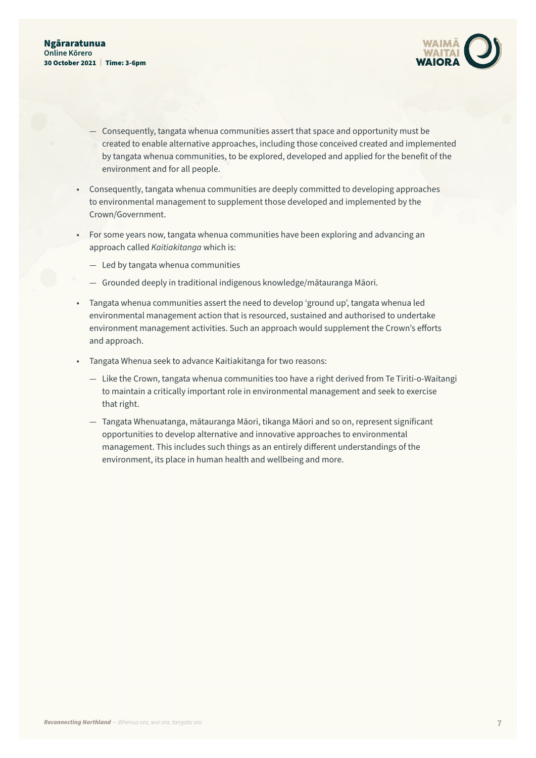

- Consequently, tangata whenua communities assert that space and opportunity must be created to enable alternative approaches, including those conceived created and implemented by tangata whenua communities, to be explored, developed and applied for the benefit of the environment and for all people.
- Consequently, tangata whenua communities are deeply committed to developing approaches to environmental management to supplement those developed and implemented by the Crown/Government.
- For some years now, tangata whenua communities have been exploring and advancing an approach called *Kaitiakitanga* which is:
	- Led by tangata whenua communities
	- Grounded deeply in traditional indigenous knowledge/mātauranga Māori.
- Tangata whenua communities assert the need to develop 'ground up', tangata whenua led environmental management action that is resourced, sustained and authorised to undertake environment management activities. Such an approach would supplement the Crown's efforts and approach.
- Tangata Whenua seek to advance Kaitiakitanga for two reasons:
	- Like the Crown, tangata whenua communities too have a right derived from Te Tiriti-o-Waitangi to maintain a critically important role in environmental management and seek to exercise that right.
	- Tangata Whenuatanga, mātauranga Māori, tikanga Māori and so on, represent significant opportunities to develop alternative and innovative approaches to environmental management. This includes such things as an entirely different understandings of the environment, its place in human health and wellbeing and more.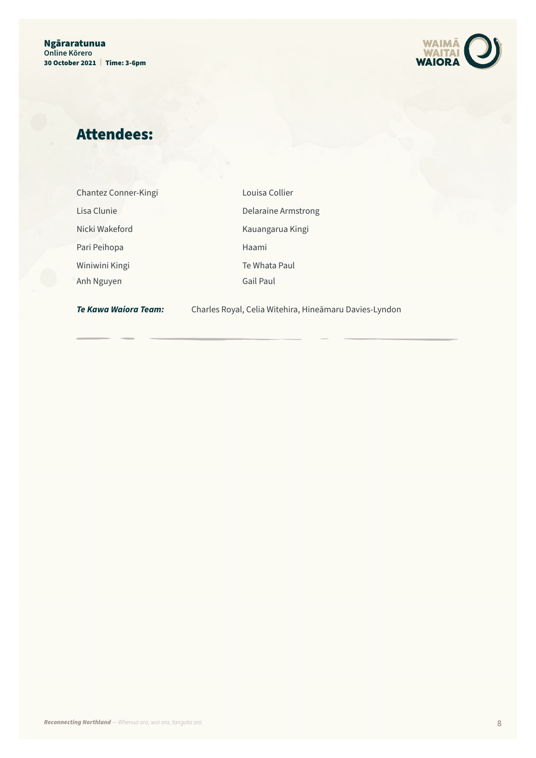

## Attendees:

| Chantez Conner-Kingi |  |
|----------------------|--|
| Lisa Clunie          |  |
| Nicki Wakeford       |  |
| Pari Peihopa         |  |
| Winiwini Kingi       |  |
| Anh Nguyen           |  |

Louisa Collier Delaraine Armstrong Kauangarua Kingi Haami Te Whata Paul Gail Paul

*Te Kawa Waiora Team:* Charles Royal, Celia Witehira, Hineāmaru Davies-Lyndon